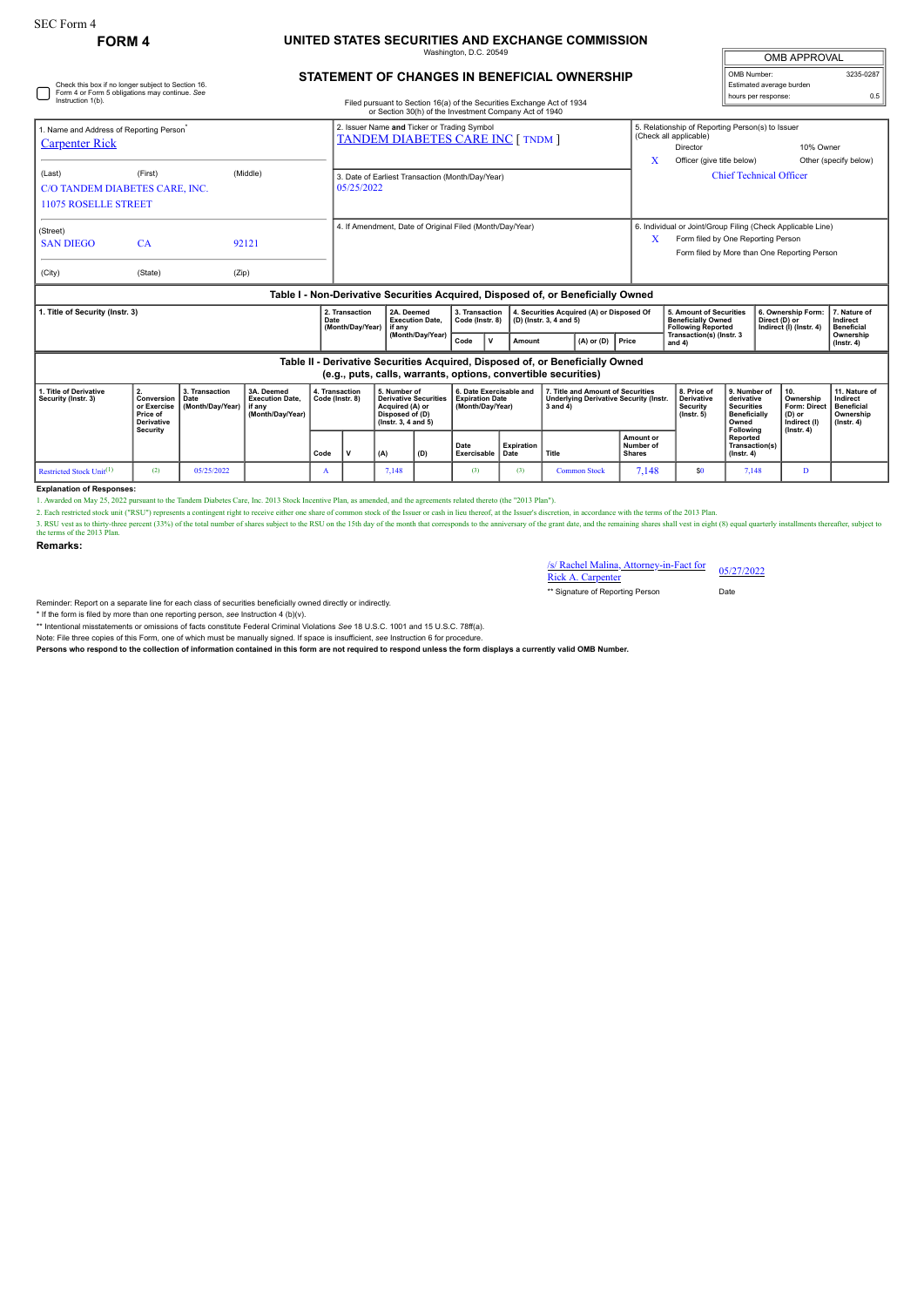## **FORM 4 UNITED STATES SECURITIES AND EXCHANGE COMMISSION**

mgton, D.C. 2

| <b>OMB APPROVAL</b>      |           |
|--------------------------|-----------|
| OMB Number:              | 3235-0287 |
| Estimated average burden |           |
| hours per response:      | ሰ 5       |

## **STATEMENT OF CHANGES IN BENEFICIAL OWNERSHIP**

|                                                                                  |                                                |                                                                                         | Table II - Derivative Securities Acquired, Disposed of, or Beneficially Owned | (Month/Day/Year)                                                                                                                 | Code                              | $\mathbf v$ | Amount                                                                                 | $(A)$ or $(D)$                                                                        | Price                                                                                   | Transaction(s) (Instr. 3<br>and 4)                                                |                                                                | Ownership<br>$($ lnstr. 4 $)$                 |  |
|----------------------------------------------------------------------------------|------------------------------------------------|-----------------------------------------------------------------------------------------|-------------------------------------------------------------------------------|----------------------------------------------------------------------------------------------------------------------------------|-----------------------------------|-------------|----------------------------------------------------------------------------------------|---------------------------------------------------------------------------------------|-----------------------------------------------------------------------------------------|-----------------------------------------------------------------------------------|----------------------------------------------------------------|-----------------------------------------------|--|
| 1. Title of Security (Instr. 3)                                                  |                                                |                                                                                         | 2. Transaction<br>Date<br>(Month/Day/Year)                                    | 2A. Deemed<br><b>Execution Date.</b><br>if anv                                                                                   | 3. Transaction<br>Code (Instr. 8) |             | 4. Securities Acquired (A) or Disposed Of<br>(D) (Instr. 3, 4 and 5)                   |                                                                                       |                                                                                         | 5. Amount of Securities<br><b>Beneficially Owned</b><br><b>Following Reported</b> | 6. Ownership Form:<br>Direct (D) or<br>Indirect (I) (Instr. 4) | 7. Nature of<br>Indirect<br><b>Beneficial</b> |  |
| Table I - Non-Derivative Securities Acquired, Disposed of, or Beneficially Owned |                                                |                                                                                         |                                                                               |                                                                                                                                  |                                   |             |                                                                                        |                                                                                       |                                                                                         |                                                                                   |                                                                |                                               |  |
| (City)                                                                           | (State)                                        | (Zip)                                                                                   |                                                                               |                                                                                                                                  |                                   |             |                                                                                        |                                                                                       |                                                                                         |                                                                                   |                                                                |                                               |  |
| (Street)<br><b>SAN DIEGO</b>                                                     | <b>CA</b>                                      | 92121                                                                                   |                                                                               |                                                                                                                                  |                                   |             |                                                                                        |                                                                                       | Form filed by One Reporting Person<br>x<br>Form filed by More than One Reporting Person |                                                                                   |                                                                |                                               |  |
|                                                                                  |                                                |                                                                                         |                                                                               | 4. If Amendment, Date of Original Filed (Month/Day/Year)                                                                         |                                   |             |                                                                                        |                                                                                       | 6. Individual or Joint/Group Filing (Check Applicable Line)                             |                                                                                   |                                                                |                                               |  |
| <b>11075 ROSELLE STREET</b>                                                      | C/O TANDEM DIABETES CARE, INC.                 | 05/25/2022                                                                              |                                                                               |                                                                                                                                  |                                   |             |                                                                                        |                                                                                       |                                                                                         |                                                                                   |                                                                |                                               |  |
| (Last)                                                                           | (First)                                        |                                                                                         | 3. Date of Earliest Transaction (Month/Day/Year)                              |                                                                                                                                  |                                   |             | X                                                                                      | Officer (give title below)<br>Other (specify below)<br><b>Chief Technical Officer</b> |                                                                                         |                                                                                   |                                                                |                                               |  |
| 1. Name and Address of Reporting Person <sup>*</sup><br><b>Carpenter Rick</b>    |                                                | 2. Issuer Name and Ticker or Trading Symbol<br><b>TANDEM DIABETES CARE INC [ TNDM ]</b> |                                                                               |                                                                                                                                  |                                   |             | 5. Relationship of Reporting Person(s) to Issuer<br>(Check all applicable)<br>Director | 10% Owner                                                                             |                                                                                         |                                                                                   |                                                                |                                               |  |
| Instruction 1(b).                                                                | Form 4 or Form 5 obligations may continue. See |                                                                                         |                                                                               | Filed pursuant to Section 16(a) of the Securities Exchange Act of 1934<br>or Section 30(h) of the Investment Company Act of 1940 |                                   |             |                                                                                        |                                                                                       |                                                                                         |                                                                                   | hours per response:                                            | 0.5                                           |  |

#### **Table II - Derivative Securities Acquired, Disposed of, or Beneficially Owned (e.g., puts, calls, warrants, options, convertible securities)**

| laidii karal aanal namantalika aksianal aanna mara aaaantiraa |                                                                                      |                                   |                                                                      |                                   |  |                                                                                                                 |     |                                                                       |            |                                                                                                |                                                |                                                                  |                                                                                 |                                                                           |                                                            |
|---------------------------------------------------------------|--------------------------------------------------------------------------------------|-----------------------------------|----------------------------------------------------------------------|-----------------------------------|--|-----------------------------------------------------------------------------------------------------------------|-----|-----------------------------------------------------------------------|------------|------------------------------------------------------------------------------------------------|------------------------------------------------|------------------------------------------------------------------|---------------------------------------------------------------------------------|---------------------------------------------------------------------------|------------------------------------------------------------|
| 1. Title of Derivative<br>Security (Instr. 3)                 | Conversion   Date<br>or Exercise<br><b>Price of</b><br>Derivative<br><b>Security</b> | 3. Transaction<br>Month/Dav/Year) | 3A. Deemed<br><b>Execution Date.</b><br>l if anv<br>(Month/Dav/Year) | 4. Transaction<br>Code (Instr. 8) |  | 5. Number of<br><b>Derivative Securities</b><br>Acquired (A) or<br>Disposed of (D)<br>$($ lnstr. 3. 4 and 5 $)$ |     | 6. Date Exercisable and<br><b>Expiration Date</b><br>(Month/Dav/Year) |            | 7. Title and Amount of Securities<br><b>Underlying Derivative Security (Instr.</b><br>3 and 4) |                                                | 8. Price of<br><b>Derivative</b><br>Security<br>$($ lnstr $, 5)$ | 9. Number of<br>derivative<br><b>Securities</b><br><b>Beneficially</b><br>Owned | 10.<br>Ownership<br>Form: Direct   Beneficial<br>$(D)$ or<br>Indirect (I) | 11. Nature of<br>Indirect<br>Ownership<br>$($ lnstr, 4 $)$ |
|                                                               |                                                                                      |                                   |                                                                      | Code                              |  | (A)                                                                                                             | (D) | Date<br>Exercisable Date                                              | Expiration | Title                                                                                          | <b>Amount or</b><br>Number of<br><b>Shares</b> |                                                                  | Following<br>Reported<br>Transaction(s)<br>$($ lnstr. 4 $)$                     | $($ lnstr, 4 $)$                                                          |                                                            |
| Restricted Stock Unit <sup>(1)</sup>                          | ر ع                                                                                  | 05/25/2022                        |                                                                      | A                                 |  | 7.148                                                                                                           |     | (3)                                                                   | (3)        | <b>Common Stock</b>                                                                            | 7.148                                          | \$0                                                              | 7.148                                                                           |                                                                           |                                                            |

**Explanation of Responses:**<br>1. Awarded on May 25, 2022 purs nt to the Tandem Diabetes Care, Inc. 2013 Stock Incentive Plan, as amended, and the agreements related thereto (the "2013 Plan").

2. Each restricted stock unit ("RSU") represents a contingent right to receive either one share of common stock of the Issuer or cash in lieu thereof, at the Issuer's discretion, in accordance with the terms of the 2013 Pl

**Remarks:**

# /s/ Rachel Malina, Attorney-in-Fact for Rick A. Carpenter 05/27/2022

\*\* Signature of Reporting Person Date

Reminder: Report on a separate line for each class of securities beneficially owned directly or indirectly.

\* If the form is filed by more than one reporting person, *see* Instruction 4 (b)(v).

\*\* Intentional misstatements or omissions of facts constitute Federal Criminal Violations *See* 18 U.S.C. 1001 and 15 U.S.C. 78ff(a).

Note: File three copies of this Form, one of which must be manually signed. If space is insufficient, see Instruction 6 for procedure.<br>Persons who respond to the collection of information contained in this form are not req